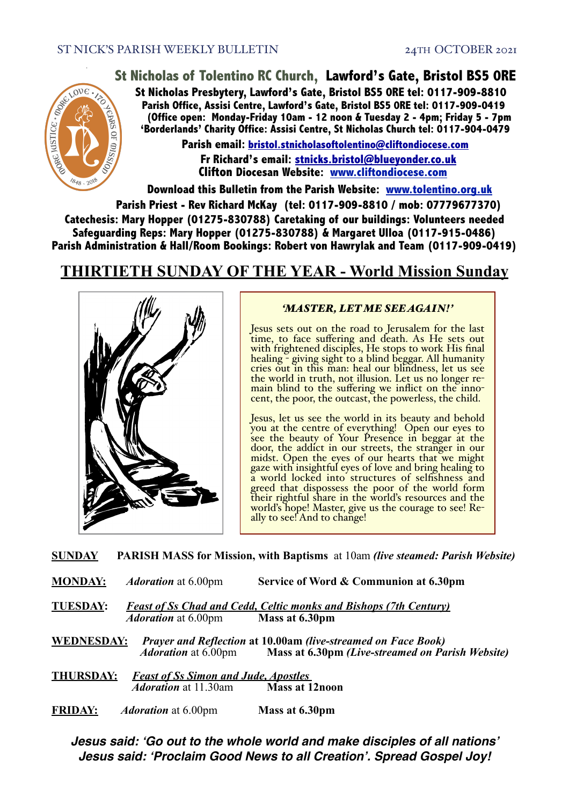OVE

 $\Omega$ 

C . MOREC

**USTICE** 

## **St Nicholas of Tolentino RC Church, Lawford's Gate, Bristol BS5 0RE**

**St Nicholas Presbytery, Lawford's Gate, Bristol BS5 0RE tel: 0117-909-8810 Parish Office, Assisi Centre, Lawford's Gate, Bristol BS5 0RE tel: 0117-909-0419 (Office open: Monday-Friday 10am - 12 noon & Tuesday 2 - 4pm; Friday 5 - 7pm 'Borderlands' Charity Office: Assisi Centre, St Nicholas Church tel: 0117-904-0479**

> **Parish email: [bristol.stnicholasoftolentino@cliftondiocese.com](mailto:bristol.stnicholasoftolentino@cliftondiocese.com) Fr Richard's email: [stnicks.bristol@blueyonder.co.uk](mailto:stnicks.bristol@blueyonder.co.uk) Clifton Diocesan Website: [www.cliftondiocese.com](http://www.cliftondiocese.com)**

**Download this Bulletin from the Parish Website: [www.tolentino.org.uk](http://www.cliftondiocese.com)**

**Parish Priest - Rev Richard McKay (tel: 0117-909-8810 / mob: 07779677370) Catechesis: Mary Hopper (01275-830788) Caretaking of our buildings: Volunteers needed Safeguarding Reps: Mary Hopper (01275-830788) & Margaret Ulloa (0117-915-0486) Parish Administration & Hall/Room Bookings: Robert von Hawrylak and Team (0117-909-0419)**

# **THIRTIETH SUNDAY OF THE YEAR - World Mission Sunday**



#### *'MASTER, LET ME SEE AGAIN!'*

Jesus sets out on the road to Jerusalem for the last<br>time, to face suffering and death. As He sets out with frightened disciples, He stops to work His final healing - giving sight to a blind beggar. All humanity cries out in this man: heal our blindness, let us see the world in truth, not illusion. Let us no longer remain blind to the suffering we inflict on the inno-<br>cent, the poor, the outcast, the powerless, the child.

Jesus, let us see the world in its beauty and behold you at the centre of everything! Open our eyes to see the beauty of Your Presence in beggar at the door, the addict in our streets, the stranger in our midst. Open the eyes of our hearts that we might gaze with insightful eyes of love and bring healing to a world locked into structures of selfishness and greed that dispossess the poor of the world form their rightful share in the world's resources and the world's hope! Master, give us the courage to see! Re- ally to see! And to change!

**SUNDAY PARISH MASS for Mission, with Baptisms** at 10am *(live steamed: Parish Website)*

**MONDAY:** *Adoration* at 6.00pm **Service of Word & Communion at 6.30pm**

**TUESDAY:** *Feast of Ss Chad and Cedd, Celtic monks and Bishops (7th Century) Adoration* at 6.00pm

**WEDNESDAY:** *Prayer and Reflection* **at 10.00am** *(live-streamed on Face Book) Adoration* at 6.00pm **Mass at 6.30pm** *(Live-streamed on Parish Website)*

**THURSDAY:** *Feast of Ss Simon and Jude, Apostles Adoration* at 11.30am

**FRIDAY:** *Adoration* at 6.00pm **Mass at 6.30pm**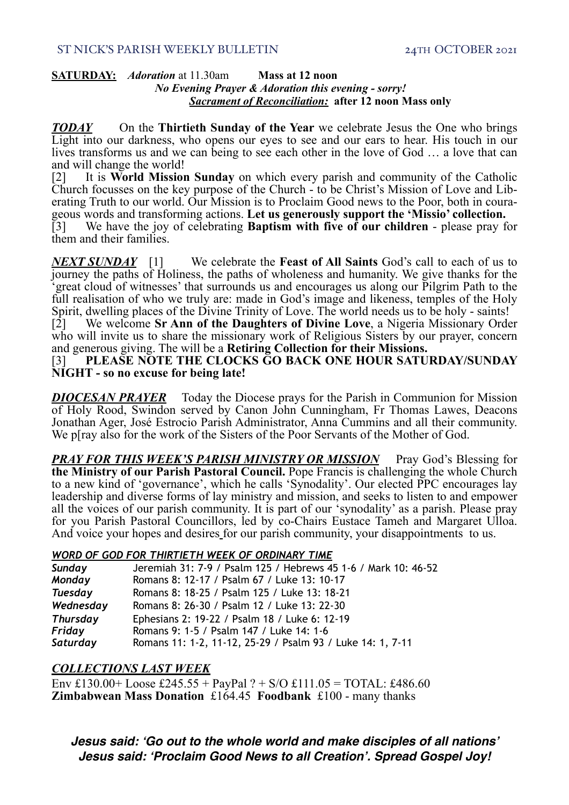#### **SATURDAY:** *Adoration* at 11.30am **Mass at 12 noon** *No Evening Prayer & Adoration this evening - sorry! Sacrament of Reconciliation:* **after 12 noon Mass only**

*TODAY* On the **Thirtieth Sunday of the Year** we celebrate Jesus the One who brings Light into our darkness, who opens our eyes to see and our ears to hear. His touch in our lives transforms us and we can being to see each other in the love of God … a love that can and will change the world!

[2] It is **World Mission Sunday** on which every parish and community of the Catholic Church focusses on the key purpose of the Church - to be Christ's Mission of Love and Liberating Truth to our world. Our Mission is to Proclaim Good news to the Poor, both in courageous words and transforming actions. Let

[3] We have the joy of celebrating **Baptism with five of our children** - please pray for them and their families.

*NEXT SUNDAY* [1] We celebrate the **Feast of All Saints** God's call to each of us to journey the paths of Holiness, the paths of wholeness and humanity. We give thanks for the 'great cloud of witnesses' that surrounds us and encourages us along our Pilgrim Path to the full realisation of who we truly are: made in God's image and likeness, temples of the Holy Spirit, dwelling places of the Divine Trinity of Love. The world needs us to be holy - saints!

[2] We welcome **Sr Ann of the Daughters of Divine Love**, a Nigeria Missionary Order who will invite us to share the missionary work of Religious Sisters by our prayer, concern and generous giving. The will be a **Retiring Collection for their Missions.**

#### [3] **PLEASE NOTE THE CLOCKS GO BACK ONE HOUR SATURDAY/SUNDAY NIGHT - so no excuse for being late!**

*DIOCESAN PRAYER* Today the Diocese prays for the Parish in Communion for Mission of Holy Rood, Swindon served by Canon John Cunningham, Fr Thomas Lawes, Deacons Jonathan Ager, José Estrocio Parish Administrator, Anna Cummins and all their community. We p[ray also for the work of the Sisters of the Poor Servants of the Mother of God.

*PRAY FOR THIS WEEK'S PARISH MINISTRY OR MISSION* Pray God's Blessing for **the Ministry of our Parish Pastoral Council.** Pope Francis is challenging the whole Church to a new kind of 'governance', which he calls 'Synodality'. Our elected PPC encourages lay leadership and diverse forms of lay ministry and mission, and seeks to listen to and empower all the voices of our parish community. It is part of our 'synodality' as a parish. Please pray for you Parish Pastoral Councillors, led by co-Chairs Eustace Tameh and Margaret Ulloa. And voice your hopes and desires for our parish community, your disappointments to us.

#### *WORD OF GOD FOR THIRTIETH WEEK OF ORDINARY TIME*

| Sunday          | Jeremiah 31: 7-9 / Psalm 125 / Hebrews 45 1-6 / Mark 10: 46-52 |
|-----------------|----------------------------------------------------------------|
| Monday          | Romans 8: 12-17 / Psalm 67 / Luke 13: 10-17                    |
| <b>Tuesday</b>  | Romans 8: 18-25 / Psalm 125 / Luke 13: 18-21                   |
| Wednesday       | Romans 8: 26-30 / Psalm 12 / Luke 13: 22-30                    |
| <b>Thursday</b> | Ephesians 2: 19-22 / Psalm 18 / Luke 6: 12-19                  |
| Friday          | Romans 9: 1-5 / Psalm 147 / Luke 14: 1-6                       |
| Saturday        | Romans 11: 1-2, 11-12, 25-29 / Psalm 93 / Luke 14: 1, 7-11     |

#### *COLLECTIONS LAST WEEK*

Env £130.00+ Loose £245.55 + PayPal ? + S/O £111.05 = TOTAL: £486.60 **Zimbabwean Mass Donation** £164.45 **Foodbank** £100 - many thanks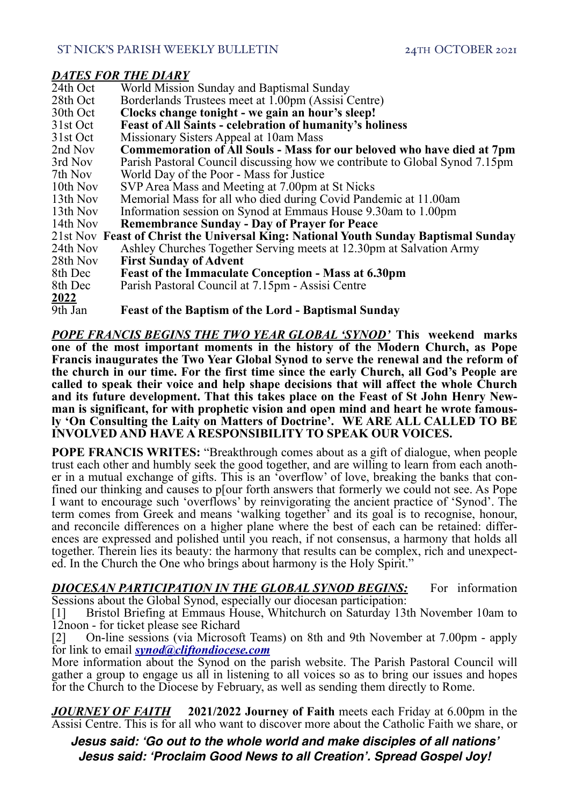#### ST NICK'S PARISH WEEKLY BULLETIN 24TH OCTOBER 2021

### *DATES FOR THE DIARY*

| 24th Oct    | World Mission Sunday and Baptismal Sunday                                           |
|-------------|-------------------------------------------------------------------------------------|
| 28th Oct    | Borderlands Trustees meet at 1.00pm (Assisi Centre)                                 |
| 30th Oct    | Clocks change tonight - we gain an hour's sleep!                                    |
| 31st Oct    | <b>Feast of All Saints - celebration of humanity's holiness</b>                     |
| 31st Oct    | Missionary Sisters Appeal at 10am Mass                                              |
| 2nd Nov     | Commemoration of All Souls - Mass for our beloved who have died at 7pm              |
| 3rd Nov     | Parish Pastoral Council discussing how we contribute to Global Synod 7.15pm         |
| 7th Nov     | World Day of the Poor - Mass for Justice                                            |
| 10th Nov    | SVP Area Mass and Meeting at 7.00pm at St Nicks                                     |
| 13th Nov    | Memorial Mass for all who died during Covid Pandemic at 11.00am                     |
| 13th Nov    | Information session on Synod at Emmaus House 9.30am to 1.00pm                       |
| 14th Nov    | <b>Remembrance Sunday - Day of Prayer for Peace</b>                                 |
|             | 21st Nov Feast of Christ the Universal King: National Youth Sunday Baptismal Sunday |
| 24th Nov    | Ashley Churches Together Serving meets at 12.30pm at Salvation Army                 |
| 28th Nov    | <b>First Sunday of Advent</b>                                                       |
| 8th Dec     | <b>Feast of the Immaculate Conception - Mass at 6.30pm</b>                          |
| 8th Dec     | Parish Pastoral Council at 7.15pm - Assisi Centre                                   |
| <u>2022</u> |                                                                                     |
| 9th Jan     | <b>Feast of the Baptism of the Lord - Baptismal Sunday</b>                          |

*POPE FRANCIS BEGINS THE TWO YEAR GLOBAL 'SYNOD'* **This weekend marks one of the most important moments in the history of the Modern Church, as Pope Francis inaugurates the Two Year Global Synod to serve the renewal and the reform of the church in our time. For the first time since the early Church, all God's People are called to speak their voice and help shape decisions that will affect the whole Church**  and its future development. That this takes place on the Feast of St John Henry New-<br>man is significant, for with prophetic vision and open mind and heart he wrote famous-<br>ly 'On Consulting the Laity on Matters of Doctrine **INVOLVED AND HAVE A RESPONSIBILITY TO SPEAK OUR VOICES.** 

**POPE FRANCIS WRITES:** "Breakthrough comes about as a gift of dialogue, when people trust each other and humbly seek the good together, and are willing to learn from each another in a mutual exchange of gifts. This is an 'overflow' of love, breaking the banks that confined our thinking and causes to p[our forth answers that formerly we could not see. As Pope I want to encourage such 'overflows' by reinvigorating the ancient practice of 'Synod'. The term comes from Greek and means 'walking together' and its goal is to recognise, honour, and reconcile differences on a higher plane where the best of each can be retained: differ- ences are expressed and polished until you reach, if not consensus, a harmony that holds all together. Therein lies its beauty: the harmony that results can be complex, rich and unexpect- ed. In the Church the One who brings about harmony is the Holy Spirit."

*DIOCESAN PARTICIPATION IN THE GLOBAL SYNOD BEGINS:* For information Sessions about the Global Synod, especially our diocesan participation:

[1] Bristol Briefing at Emmaus House, Whitchurch on Saturday 13th November 10am to 12noon - for ticket please see Richard

[2] On-line sessions (via Microsoft Teams) on 8th and 9th November at 7.00pm - apply for link to email *[synod@cliftondiocese.com](mailto:synod@cliftondiocese.com)*

More information about the Synod on the parish website. The Parish Pastoral Council will gather a group to engage us all in listening to all voices so as to bring our issues and hopes for the Church to the Diocese by February, as well as sending them directly to Rome.

*JOURNEY OF FAITH* **2021/2022 Journey of Faith** meets each Friday at 6.00pm in the Assisi Centre. This is for all who want to discover more about the Catholic Faith we share, or